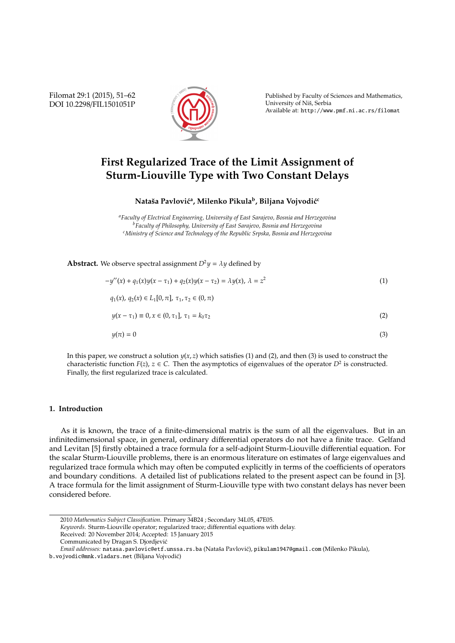Filomat 29:1 (2015), 51–62 DOI 10.2298/FIL1501051P



Published by Faculty of Sciences and Mathematics, University of Niš, Serbia Available at: http://www.pmf.ni.ac.rs/filomat

# **First Regularized Trace of the Limit Assignment of Sturm-Liouville Type with Two Constant Delays**

### $\mathbf{N}$ ataša Pavlović<sup>a</sup>, Milenko Pikula<sup>b</sup>, Biljana Vojvodić<sup>c</sup>

*<sup>a</sup>Faculty of Electrical Engineering, University of East Sarajevo, Bosnia and Herzegovina <sup>b</sup>Faculty of Philosophy, University of East Sarajevo, Bosnia and Herzegovina <sup>c</sup>Ministry of Science and Technology of the Republic Srpska, Bosnia and Herzegovina*

**Abstract.** We observe spectral assignment  $D^2 \psi = \lambda \psi$  defined by

$$
-y''(x) + q_1(x)y(x - \tau_1) + q_2(x)y(x - \tau_2) = \lambda y(x), \lambda = z^2
$$
  
\n
$$
q_1(x), q_2(x) \in L_1[0, \pi], \tau_1, \tau_2 \in (0, \pi)
$$
  
\n
$$
y(x - \tau_1) \equiv 0, x \in (0, \tau_1], \tau_1 = k_0 \tau_2
$$
  
\n
$$
y(\pi) = 0
$$
\n(3)

In this paper, we construct a solution  $y(x, z)$  which satisfies (1) and (2), and then (3) is used to construct the characteristic function  $F(z)$ ,  $z \in C$ . Then the asymptotics of eigenvalues of the operator  $D^2$  is constructed. Finally, the first regularized trace is calculated.

#### **1. Introduction**

As it is known, the trace of a finite-dimensional matrix is the sum of all the eigenvalues. But in an infinitedimensional space, in general, ordinary differential operators do not have a finite trace. Gelfand and Levitan [5] firstly obtained a trace formula for a self-adjoint Sturm-Liouville differential equation. For the scalar Sturm-Liouville problems, there is an enormous literature on estimates of large eigenvalues and regularized trace formula which may often be computed explicitly in terms of the coefficients of operators and boundary conditions. A detailed list of publications related to the present aspect can be found in [3]. A trace formula for the limit assignment of Sturm-Liouville type with two constant delays has never been considered before.

*Keywords*. Sturm-Liouville operator; regularized trace; differential equations with delay.

- Received: 20 November 2014; Accepted: 15 January 2015
- Communicated by Dragan S. Djordjevic´

*Email addresses:* natasa.pavlovic@etf.unssa.rs.ba (Nataša Pavlović), pikulam1947@gmail.com (Milenko Pikula),

<sup>2010</sup> *Mathematics Subject Classification*. Primary 34B24 ; Secondary 34L05, 47E05.

b.vojvodic@mnk.vladars.net (Biljana Vojvodic)´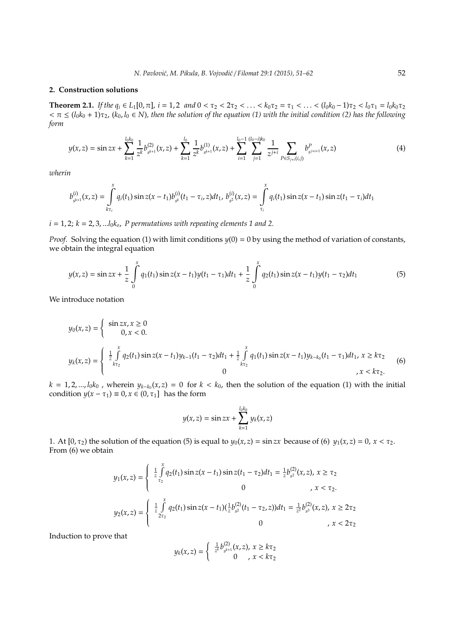#### **2. Construction solutions**

**Theorem 2.1.** *If the q<sub>i</sub>* ∈ *L*<sub>1</sub>[0,  $\pi$ ], *i* = 1, 2 *and* 0 <  $\tau_2$  < 2 $\tau_2$  < ... <  $k_0 \tau_2$  =  $\tau_1$  < ... <  $(l_0 k_0 - 1) \tau_2$  <  $l_0 \tau_1$  =  $l_0 k_0 \tau_2$  $\tau < \pi \leq (l_0k_0 + 1)\tau_2$ ,  $(k_0, l_0 \in N)$ , then the solution of the equation (1) with the initial condition (2) has the following *form*

$$
y(x,z) = \sin zx + \sum_{k=1}^{l_0 k_0} \frac{1}{z^k} b_{s^{k+1}}^{(2)}(x,z) + \sum_{k=1}^{l_0} \frac{1}{z^k} b_{s^{k+1}}^{(1)}(x,z) + \sum_{i=1}^{l_0-1} \sum_{j=1}^{(l_0-i)k_0} \frac{1}{z^{j+i}} \sum_{P \in S_{j+i}(i,j)} b_{s^{j+i+1}}^P(x,z)
$$
(4)

*wherin*

$$
b_{s^{k+1}}^{(i)}(x,z) = \int\limits_{k\tau_i}^x q_i(t_1) \sin z(x-t_1) b_{s^k}^{(i)}(t_1-\tau_i,z) dt_1, \ b_{s^2}^{(i)}(x,z) = \int\limits_{\tau_i}^x q_i(t_1) \sin z(x-t_1) \sin z(t_1-\tau_i) dt_1
$$

*i* = 1, 2; *k* = 2, 3, ...*l*0*ko*, *P permutations with repeating elements 1 and 2.*

*Proof.* Solving the equation (1) with limit conditions  $y(0) = 0$  by using the method of variation of constants, we obtain the integral equation

$$
y(x,z) = \sin zx + \frac{1}{z} \int_{0}^{x} q_1(t_1) \sin z(x - t_1) y(t_1 - \tau_1) dt_1 + \frac{1}{z} \int_{0}^{x} q_2(t_1) \sin z(x - t_1) y(t_1 - \tau_2) dt_1
$$
(5)

We introduce notation

$$
y_0(x, z) = \begin{cases} \sin zx, x \ge 0\\ 0, x < 0. \end{cases}
$$
  

$$
y_k(x, z) = \begin{cases} \frac{1}{z} \int_{k\tau_2}^{x} q_2(t_1) \sin z(x - t_1) y_{k-1}(t_1 - \tau_2) dt_1 + \frac{1}{z} \int_{k\tau_2}^{x} q_1(t_1) \sin z(x - t_1) y_{k-k_0}(t_1 - \tau_1) dt_1, x \ge k\tau_2\\ 0, x < k\tau_2. \end{cases}
$$
(6)

 $k = 1, 2, ..., l_0 k_0$  , wherein  $y_{k-k_0}(x, z) = 0$  for  $k < k_0$ , then the solution of the equation (1) with the initial condition  $y(x - \tau_1) \equiv 0, x \in (0, \tau_1]$  has the form

$$
y(x, z) = \sin zx + \sum_{k=1}^{l_0 k_0} y_k(x, z)
$$

1. At  $[0, \tau_2)$  the solution of the equation (5) is equal to  $y_0(x, z) = \sin zx$  because of (6)  $y_1(x, z) = 0$ ,  $x < \tau_2$ . From (6) we obtain

$$
y_1(x, z) = \begin{cases} \frac{1}{z} \int_{\tau_2}^{x} q_2(t_1) \sin z(x - t_1) \sin z(t_1 - \tau_2) dt_1 = \frac{1}{z} b_{s^2}^{(2)}(x, z), & x \ge \tau_2 \\ 0, & x < \tau_2. \end{cases}
$$
  

$$
y_2(x, z) = \begin{cases} \frac{1}{z} \int_{z\tau_2}^{x} q_2(t_1) \sin z(x - t_1)(\frac{1}{z} b_{s^2}^{(2)}(t_1 - \tau_2, z)) dt_1 = \frac{1}{z^2} b_{s^3}^{(2)}(x, z), & x \ge 2\tau_2 \\ 0, & x < 2\tau_2 \end{cases}
$$

Induction to prove that

$$
y_k(x, z) = \begin{cases} \frac{1}{z^k} b_{s^{k+1}}^{(2)}(x, z), & x \geq k\tau_2 \\ 0, & x < k\tau_2 \end{cases}
$$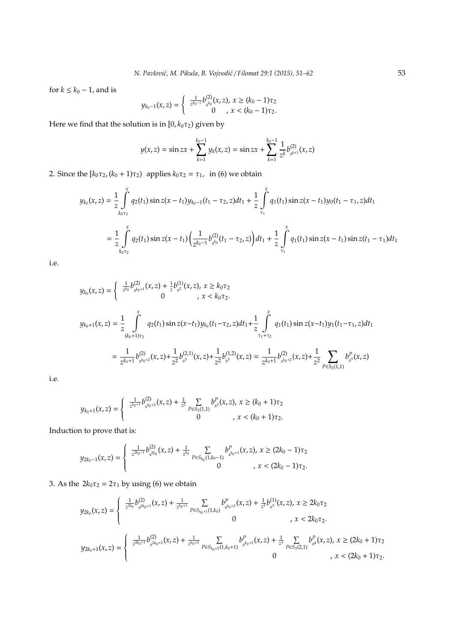for  $k \leq k_0 - 1$ , and is

$$
y_{k_0-1}(x,z) = \begin{cases} \frac{1}{z^{k_0-1}} b_{s^{k_0}}^{(2)}(x,z), & x \ge (k_0-1)\tau_2 \\ 0, & x < (k_0-1)\tau_2. \end{cases}
$$

Here we find that the solution is in  $[0, k_0 \tau_2)$  given by

$$
y(x,z) = \sin zx + \sum_{k=1}^{k_0-1} y_k(x,z) = \sin zx + \sum_{k=1}^{k_0-1} \frac{1}{z^k} b_{s^{k+1}}^{(2)}(x,z)
$$

2. Since the  $[k_0 \tau_2, (k_0 + 1) \tau_2)$  applies  $k_0 \tau_2 = \tau_1$ , in (6) we obtain

$$
y_{k_0}(x, z) = \frac{1}{z} \int_{k_0 \tau_2}^{x} q_2(t_1) \sin z(x - t_1) y_{k_0 - 1}(t_1 - \tau_2, z) dt_1 + \frac{1}{z} \int_{\tau_1}^{x} q_1(t_1) \sin z(x - t_1) y_0(t_1 - \tau_1, z) dt_1
$$
  

$$
= \frac{1}{z} \int_{k_0 \tau_2}^{x} q_2(t_1) \sin z(x - t_1) \left( \frac{1}{z^{k_0 - 1}} b_{s^{k_0}}^{(2)}(t_1 - \tau_2, z) \right) dt_1 + \frac{1}{z} \int_{\tau_1}^{x} q_1(t_1) \sin z(x - t_1) \sin z(t_1 - \tau_1) dt_1
$$

i.e.

$$
y_{k_0}(x, z) = \begin{cases} \frac{1}{z^{k_0}} b_{s^{k_0+1}}^{(2)}(x, z) + \frac{1}{z} b_{s^2}^{(1)}(x, z), & x \ge k_0 \tau_2 \\ 0, & x < k_0 \tau_2. \end{cases}
$$
\n
$$
y_{k_0+1}(x, z) = \frac{1}{z} \int_{(k_0+1)\tau_2}^{x} q_2(t_1) \sin z(x - t_1) y_{k_0}(t_1 - \tau_2, z) dt_1 + \frac{1}{z} \int_{\tau_1 + \tau_2}^{x} q_1(t_1) \sin z(x - t_1) y_1(t_1 - \tau_1, z) dt_1
$$
\n
$$
= \frac{1}{z^{k_0+1}} b_{s^{k_0+2}}^{(2)}(x, z) + \frac{1}{z^2} b_{s^3}^{(2,1)}(x, z) + \frac{1}{z^2} b_{s^3}^{(1,2)}(x, z) = \frac{1}{z^{k_0+1}} b_{s^{k_0+2}}^{(2)}(x, z) + \frac{1}{z^2} \sum_{P \in S_2(1,1)} b_{s^3}^P(x, z)
$$

i.e.

$$
y_{k_0+1}(x,z) = \begin{cases} \frac{1}{z^{k_0+1}} b_{s^{k_0+2}}^{(2)}(x,z) + \frac{1}{z^2} \sum_{P \in S_2(1,1)} b_{s^3}^P(x,z), \ x \geq (k_0+1)\tau_2 \\ 0, \quad, \ x < (k_0+1)\tau_2. \end{cases}
$$

Induction to prove that is:

$$
y_{2k_0-1}(x,z)=\left\{\begin{array}{c}\frac{1}{z^{2k_0-1}}b_{s^{2k_0}}^{(2)}(x,z)+\frac{1}{z^{k_0}}\sum\limits_{P\in S_{k_0}(1,k_0-1)}b_{s^{k_0+1}}^P(x,z),\ x\geq (2k_0-1)\tau_2\\0\qquad \qquad,x<(2k_0-1)\tau_2.\end{array}\right.
$$

3. As the  $2k_0\tau_2 = 2\tau_1$  by using (6) we obtain

$$
y_{2k_0}(x,z) = \begin{cases} \frac{1}{z^{2k_0}} b_{s^{2k_0+1}}^{(2)}(x,z) + \frac{1}{z^{k_0+1}} \sum_{P \in S_{k_0+1}(1,k_0)} b_{s^{k_0+2}}^P(x,z) + \frac{1}{z^2} b_{s^3}^{(1)}(x,z), & x \ge 2k_0\tau_2 \\ 0 & , x < 2k_0\tau_2. \end{cases}
$$
  

$$
y_{2k_0+1}(x,z) = \begin{cases} \frac{1}{z^{2k_0+1}} b_{s^{2k_0+2}}^{(2)}(x,z) + \frac{1}{z^{k_0+2}} \sum_{P \in S_{k_0+2}(1,k_0+1)} b_{s^{k_0+3}}^P(x,z) + \frac{1}{z^3} \sum_{P \in S_3(2,1)} b_{s^4}^P(x,z), & x \ge (2k_0+1)\tau_2. \end{cases}
$$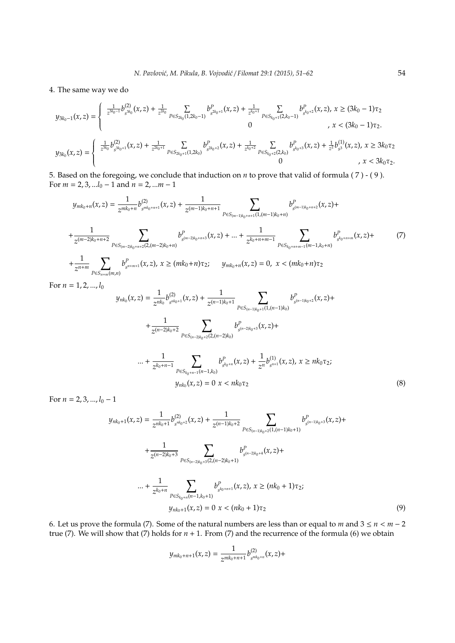#### 4. The same way we do

$$
y_{3k_0-1}(x,z) = \begin{cases} \frac{1}{z^{3k_0-1}} b_{s^{3k_0}}^{(2)}(x,z) + \frac{1}{z^{2k_0}} \sum_{P \in S_{2k_0}(1,2k_0-1)} b_{s^{2k_0+1}}^P(x,z) + \frac{1}{z^{k_0+1}} \sum_{P \in S_{k_0+1}(2,k_0-1)} b_{s^{k_0+2}}^P(x,z), x \ge (3k_0-1)\tau_2\\ 0, x < (3k_0-1)\tau_2. \end{cases}
$$
  

$$
y_{3k_0}(x,z) = \begin{cases} \frac{1}{z^{3k_0}} b_{s^{3k_0+1}}^{(2)}(x,z) + \frac{1}{z^{2k_0+1}} \sum_{P \in S_{2k_0+1}(1,2k_0)} b_{s^{2k_0+2}}^P(x,z) + \frac{1}{z^{k_0+2}} \sum_{P \in S_{k_0+2}(2,k_0)} b_{s^{k_0+3}}^P(x,z) + \frac{1}{z^2} b_{s^3}^{(1)}(x,z), x \ge 3k_0\tau_2\\ 0, x < 3k_0\tau_2. \end{cases}
$$

5. Based on the foregoing, we conclude that induction on *n* to prove that valid of formula ( 7 ) - ( 9 ). For *m* = 2, 3, ...*l*<sup>0</sup> − 1 and *n* = 2, ...*m* − 1

$$
y_{mk_0+n}(x,z) = \frac{1}{z^{mk_0+n}} b_{s^{mk_0+n+1}}^{(2)}(x,z) + \frac{1}{z^{(m-1)k_0+n+1}} \sum_{P \in S_{(m-1)k_0+n+1}(1,(m-1)k_0+n)} b_{s^{(m-1)k_0+n+2}}^{P}(x,z) + + \frac{1}{z^{(m-2)k_0+n+2}} \sum_{P \in S_{(m-2)k_0+n+2}(2,(m-2)k_0+n)} b_{s^{(m-2)k_0+n+3}}^{P}(x,z) + \dots + \frac{1}{z^{k_0+n+m-1}} \sum_{P \in S_{k_0+n+m-1}(m-1,k_0+n)} b_{s^{k_0+n+m}}^{P}(x,z) + + \frac{1}{z^{n+m}} \sum_{P \in S_{n+m}(m,n)} b_{s^{n+m+1}}^{P}(x,z), x \ge (mk_0+n)\tau_2; \quad y_{mk_0+n}(x,z) = 0, x < (mk_0+n)\tau_2
$$

For  $n = 1, 2, ..., l_0$ 

$$
y_{nk_0}(x, z) = \frac{1}{z^{nk_0}} b_{s^{nk_0+1}}^{(2)}(x, z) + \frac{1}{z^{(n-1)k_0+1}} \sum_{P \in S_{(n-1)k_0+1}(1, (n-1)k_0)} b_{s^{(n-1)k_0+2}}^P(x, z) + + \frac{1}{z^{(n-2)k_0+2}} \sum_{P \in S_{(n-2)k_0+2}(2, (n-2)k_0)} b_{s^{(n-2)k_0+3}}^P(x, z) + \dots + \frac{1}{z^{k_0+n-1}} \sum_{P \in S_{k_0+n-1}(n-1,k_0)} b_{s^{k_0+n}}^P(x, z) + \frac{1}{z^n} b_{s^{n+1}}^{(1)}(x, z), x \ge nk_0 \tau_2; y_{nk_0}(x, z) = 0 \ x < nk_0 \tau_2
$$
 (8)

For  $n = 2, 3, ..., l_0 - 1$ 

$$
y_{nk_0+1}(x,z) = \frac{1}{z^{nk_0+1}} b_{s^{nk_0+2}}^{(2)}(x,z) + \frac{1}{z^{(n-1)k_0+2}} \sum_{P \in S_{(n-1)k_0+2}(1,(n-1)k_0+1)} b_{s^{(n-1)k_0+3}}^P(x,z) +
$$
  
+ 
$$
\frac{1}{z^{(n-2)k_0+3}} \sum_{P \in S_{(n-2)k_0+3}(2,(n-2)k_0+1)} b_{s^{(n-2)k_0+4}}^P(x,z) +
$$
  
... + 
$$
\frac{1}{z^{k_0+n}} \sum_{P \in S_{k_0+n}(n-1,k_0+1)} b_{s^{k_0+n+1}}^P(x,z), x \ge (nk_0+1)\tau_2;
$$
  

$$
y_{nk_0+1}(x,z) = 0 \ x < (nk_0+1)\tau_2
$$
 (9)

6. Let us prove the formula (7). Some of the natural numbers are less than or equal to *m* and  $3 \le n < m - 2$ true (7). We will show that (7) holds for  $n + 1$ . From (7) and the recurrence of the formula (6) we obtain

$$
y_{mk_0+n+1}(x,z)=\frac{1}{z^{mk_0+n+1}}b_{s^{mk_0+n}}^{(2)}(x,z)+
$$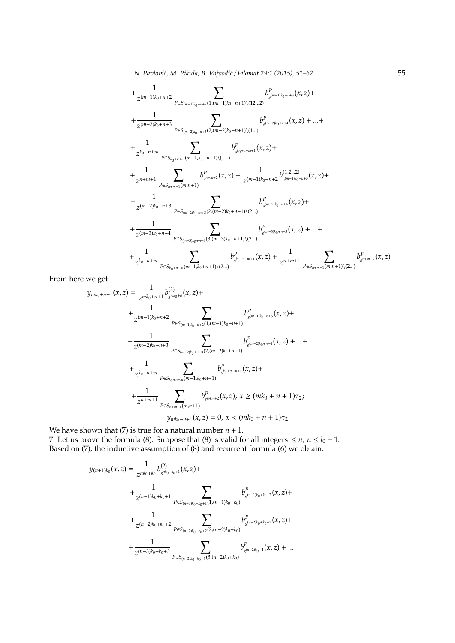$$
+\frac{1}{z^{(m-1)k_0+n+2}}\sum_{P\in S_{(m-1)k_0+n+2}(1,(m-1)k_0+n+1)\setminus(12...2)}b^P_{s^{(m-1)k_0+n+3}}(x,z)+\\+\frac{1}{z^{(m-2)k_0+n+3}}\sum_{P\in S_{(m-2)k_0+n+3}(2,(m-2)k_0+n+1)\setminus(1...)}b^P_{s^{(m-2)k_0+n+4}}(x,z)+...+\\+\frac{1}{z^{k_0+n+m}}\sum_{P\in S_{k_0+n+m}(m-1,k_0+n+1)\setminus(1...)}b^P_{s^{k_0+n+m+1}}(x,z)+\\+\frac{1}{z^{n+m+1}}\sum_{P\in S_{n+m+1}(m,n+1)}b^P_{s^{n+m+2}}(x,z)+\frac{1}{z^{(m-1)k_0+n+2}}b^{(1,2...2)}_{s^{(m-1)k_0+n+3}}(x,z)+\\+\frac{1}{z^{(m-2)k_0+n+3}}\sum_{P\in S_{(m-2)k_0+n+3}(2,(m-2)k_0+n+1)\setminus(2...)}b^P_{s^{(m-2)k_0+n+4}}(x,z)+\\+\frac{1}{z^{(m-3)k_0+n+4}}\sum_{P\in S_{(m-3)k_0+n+4}(3,(m-3)k_0+n+1)\setminus(2...)}b^P_{s^{(m-3)k_0+n+5}}(x,z)+...+\\+\frac{1}{z^{k_0+n+m}}\sum_{P\in S_{k_0+n+m}(m-1,k_0+n+1)\setminus(2...)}b^P_{s^{k_0+n+m+1}}(x,z)+\frac{1}{z^{n+m+1}}\sum_{P\in S_{n+m+1}(m,n+1)\setminus(2...)}b^P_{s^{k_0+n+m+1}}(x,z)+\frac{1}{z^{n+m+1}}\sum_{P\in S_{k_0+n+m}(m-1,k_0+n+1)\setminus(2...)}b^P_{s^{k_0+n+m+1}}(x,z)+\frac{1}{z^{n+m+1}}\sum_{P\in S_{k_0+n+m}(m-1,k_0+n+1)\setminus(2...)}b^P_{s^{k_0+n+m+1}}(x,z)+\frac{1}{z^{n+m+1}}\sum_{P\in S_{k_0+n+m}(m-1,k_0+n+1)\setminus(
$$

From here we get

$$
y_{mk_0+n+1}(x, z) = \frac{1}{z^{mk_0+n+1}} b_{s^{mk_0+n}}^{(2)}(x, z) +
$$
  
+ 
$$
\frac{1}{z^{(m-1)k_0+n+2}} \sum_{P \in S_{(m-1)k_0+n+2}(1, (m-1)k_0+n+1)} b_{s^{(m-1)k_0+n+3}}^{P}(x, z) +
$$
  
+ 
$$
\frac{1}{z^{(m-2)k_0+n+3}} \sum_{P \in S_{(m-2)k_0+n+3}(2, (m-2)k_0+n+1)} b_{s^{(m-2)k_0+n+4}}^{P}(x, z) + ... +
$$
  
+ 
$$
\frac{1}{z^{k_0+n+m}} \sum_{P \in S_{k_0+n+m}(m-1,k_0+n+1)} b_{s^{k_0+n+m+1}}^{P}(x, z) +
$$
  
+ 
$$
\frac{1}{z^{n+m+1}} \sum_{P \in S_{n+m+1}(m,n+1)} b_{s^{n+m+2}}^{P}(x, z), x \ge (mk_0 + n + 1)\tau_2;
$$
  

$$
y_{mk_0+n+1}(x, z) = 0, x < (mk_0 + n + 1)\tau_2
$$

We have shown that (7) is true for a natural number  $n + 1$ .

7. Let us prove the formula (8). Suppose that (8) is valid for all integers  $\leq n$ ,  $n \leq l_0 - 1$ . Based on (7), the inductive assumption of (8) and recurrent formula (6) we obtain.

$$
y_{(n+1)k_0}(x, z) = \frac{1}{z^{nk_0+k_0}} b_{s^{nk_0+k_0+1}}^{(2)}(x, z) +
$$
  
+ 
$$
\frac{1}{z^{(n-1)k_0+k_0+1}} \sum_{P \in S_{(n-1)k_0+k_0+1}(1, (n-1)k_0+k_0)} b_{s^{(n-1)k_0+k_0+2}}^P(x, z) +
$$
  
+ 
$$
\frac{1}{z^{(n-2)k_0+k_0+2}} \sum_{P \in S_{(n-2)k_0+k_0+2}(2, (n-2)k_0+k_0)} b_{s^{(n-2)k_0+k_0+3}}^P(x, z) +
$$
  
+ 
$$
\frac{1}{z^{(n-3)k_0+k_0+3}} \sum_{P \in S_{(n-2)k_0+k_0+3}(3, (n-2)k_0+k_0)} b_{s^{(n-2)k_0+4}}^P(x, z) + ...
$$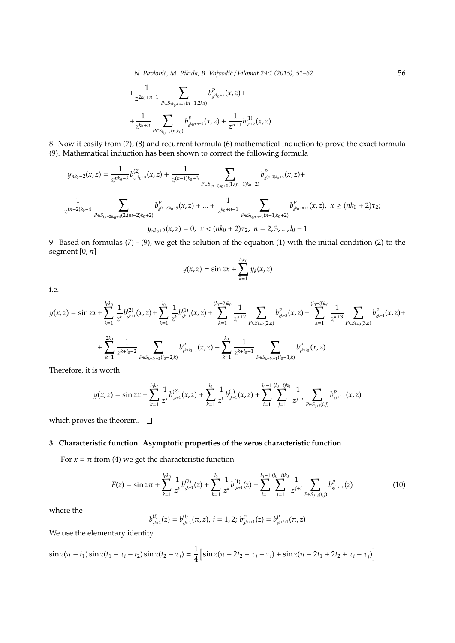$$
+\frac{1}{z^{2k_0+n-1}}\sum_{P\in S_{2k_0+n-1}(n-1,2k_0)}b^P_{s^{2k_0+n}}(x,z)+\\+\frac{1}{z^{k_0+n}}\sum_{P\in S_{k_0+n}(n,k_0)}b^P_{s^{k_0+n+1}}(x,z)+\frac{1}{z^{n+1}}b^{(1)}_{s^{n+2}}(x,z)
$$

8. Now it easily from (7), (8) and recurrent formula (6) mathematical induction to prove the exact formula (9). Mathematical induction has been shown to correct the following formula

$$
y_{nk_0+2}(x,z) = \frac{1}{z^{nk_0+2}} b_{s^{nk_0+3}}^{(2)}(x,z) + \frac{1}{z^{(n-1)k_0+3}} \sum_{P \in S_{(n-1)k_0+3}(1,(n-1)k_0+2)} b_{s^{(n-1)k_0+4}}^P(x,z) +
$$
  

$$
\frac{1}{z^{(n-2)k_0+4}} \sum_{P \in S_{(n-2)k_0+4}(2,(m-2)k_0+2)} b_{s^{(n-2)k_0+5}}^P(x,z) + ... + \frac{1}{z^{k_0+n+1}} \sum_{P \in S_{k_0+n+1}(n-1,k_0+2)} b_{s^{k_0+n+2}}^P(x,z), \ x \ge (nk_0+2)\tau_2,
$$
  

$$
y_{nk_0+2}(x,z) = 0, \ x < (nk_0+2)\tau_2, \ n = 2, 3, ..., l_0-1
$$

9. Based on formulas (7) - (9), we get the solution of the equation (1) with the initial condition (2) to the segment  $[0, \pi]$ 

$$
y(x,z)=\sin zx+\sum_{k=1}^{l_0k_0}y_k(x,z)
$$

i.e.

$$
y(x,z) = \sin zx + \sum_{k=1}^{l_0 k_0} \frac{1}{z^k} b_{s^{k+1}}^{(2)}(x,z) + \sum_{k=1}^{l_0} \frac{1}{z^k} b_{s^{k+1}}^{(1)}(x,z) + \sum_{k=1}^{(l_0-2)k_0} \frac{1}{z^{k+2}} \sum_{P \in S_{k+2}(2,k)} b_{s^{k+3}}^P(x,z) + \sum_{k=1}^{(l_0-3)k_0} \frac{1}{z^{k+3}} \sum_{P \in S_{k+3}(3,k)} b_{s^{k+4}}^P(x,z) + \sum_{k=1}^{2k_0} \frac{1}{z^{k+1_0-2}} \sum_{P \in S_{k+1}} b_{s^{k+1}}^P(x,z) + \sum_{k=1}^{k_0} \frac{1}{z^{k+1_0-1}} \sum_{P \in S_{k+1_0-1}(l_0-1,k)} b_{s^{k+1_0}}^P(x,z)
$$

Therefore, it is worth

$$
y(x,z)=\sin zx+\sum_{k=1}^{l_0k_0}\frac{1}{z^k}b_{s^{k+1}}^{(2)}(x,z)+\sum_{k=1}^{l_0}\frac{1}{z^k}b_{s^{k+1}}^{(1)}(x,z)+\sum_{i=1}^{l_0-1}\sum_{j=1}^{(l_0-i)k_0}\frac{1}{z^{j+i}}\sum_{P\in S_{j+i}(i,j)}b_{s^{j+i+1}}^P(x,z)
$$

which proves the theorem.  $\square$ 

# **3. Characteristic function. Asymptotic properties of the zeros characteristic function**

For  $x = \pi$  from (4) we get the characteristic function

$$
F(z) = \sin z \pi + \sum_{k=1}^{l_0 k_0} \frac{1}{z^k} b_{s^{k+1}}^{(2)}(z) + \sum_{k=1}^{l_0} \frac{1}{z^k} b_{s^{k+1}}^{(1)}(z) + \sum_{i=1}^{l_0 - 1} \sum_{j=1}^{(l_0 - i)k_0} \frac{1}{z^{j+i}} \sum_{P \in S_{j+i}(i,j)} b_{s^{j+i+1}}^P(z)
$$
(10)

where the

$$
b_{s^{k+1}}^{(i)}(z) = b_{s^{k+1}}^{(i)}(\pi,z), \ i = 1,2; \ b_{s^{j+i+1}}^P(z) = b_{s^{j+i+1}}^P(\pi,z)
$$

We use the elementary identity

$$
\sin z(\pi - t_1)\sin z(t_1 - \tau_i - t_2)\sin z(t_2 - \tau_j) = \frac{1}{4}\left[\sin z(\pi - 2t_2 + \tau_j - \tau_i) + \sin z(\pi - 2t_1 + 2t_2 + \tau_i - \tau_j)\right]
$$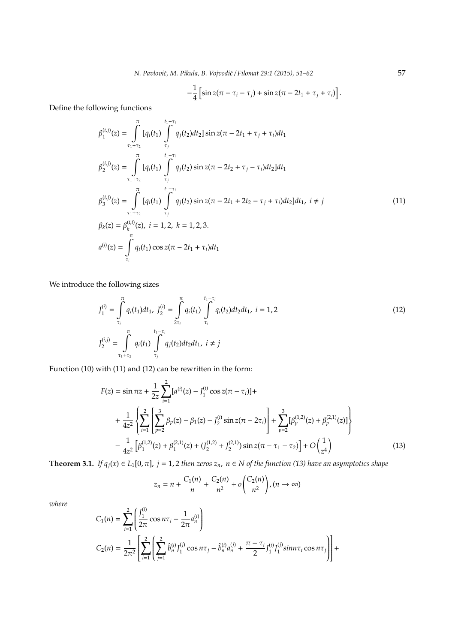$$
-\frac{1}{4}\left[\sin z(\pi-\tau_i-\tau_j)+\sin z(\pi-2t_1+\tau_j+\tau_i)\right].
$$

Define the following functions

$$
\beta_{1}^{(i,j)}(z) = \int_{\tau_{1}+\tau_{2}}^{\pi} [q_{i}(t_{1}) \int_{\tau_{j}}^{t_{1}-\tau_{i}} q_{j}(t_{2})dt_{2}] \sin z(\pi - 2t_{1} + \tau_{j} + \tau_{i})dt_{1}
$$
\n
$$
\beta_{2}^{(i,j)}(z) = \int_{\tau_{1}+\tau_{2}}^{\pi} [q_{i}(t_{1}) \int_{\tau_{j}}^{t_{1}-\tau_{i}} q_{j}(t_{2}) \sin z(\pi - 2t_{2} + \tau_{j} - \tau_{i})dt_{2}]dt_{1}
$$
\n
$$
\beta_{3}^{(i,j)}(z) = \int_{\tau_{1}+\tau_{2}}^{\pi} [q_{i}(t_{1}) \int_{\tau_{j}}^{t_{1}-\tau_{i}} q_{j}(t_{2}) \sin z(\pi - 2t_{1} + 2t_{2} - \tau_{j} + \tau_{i})dt_{2}]dt_{1}, i \neq j
$$
\n
$$
\beta_{k}(z) = \beta_{k}^{(i,j)}(z), i = 1, 2, k = 1, 2, 3.
$$
\n
$$
a^{(i)}(z) = \int_{\tau_{i}}^{\pi} q_{i}(t_{1}) \cos z(\pi - 2t_{1} + \tau_{i})dt_{1}
$$
\n(11)

We introduce the following sizes

$$
J_1^{(i)} = \int_{\tau_i}^{\pi} q_i(t_1) dt_1, \ J_2^{(i)} = \int_{2\tau_i}^{\pi} q_i(t_1) \int_{\tau_i}^{t_1 - \tau_i} q_i(t_2) dt_2 dt_1, \ i = 1, 2
$$
\n
$$
J_2^{(i,j)} = \int_{\tau_1 + \tau_2}^{\pi} q_i(t_1) \int_{\tau_j}^{t_1 - \tau_i} q_j(t_2) dt_2 dt_1, \ i \neq j
$$
\n
$$
(12)
$$

Function (10) with (11) and (12) can be rewritten in the form:

$$
F(z) = \sin \pi z + \frac{1}{2z} \sum_{i=1}^{2} [a^{(i)}(z) - J_1^{(i)} \cos z(\pi - \tau_i)] +
$$
  
+ 
$$
\frac{1}{4z^2} \left\{ \sum_{i=1}^{2} \left[ \sum_{p=2}^{3} \beta_p(z) - \beta_1(z) - J_2^{(i)} \sin z(\pi - 2\tau_i) \right] + \sum_{p=2}^{3} [\beta_p^{(1,2)}(z) + \beta_p^{(2,1)}(z)] \right\}
$$
  
- 
$$
\frac{1}{4z^2} [\beta_1^{(1,2)}(z) + \beta_1^{(2,1)}(z) + (J_2^{(1,2)} + J_2^{(2,1)}) \sin z(\pi - \tau_1 - \tau_2)] + O\left(\frac{1}{z^4}\right)
$$
(13)

**Theorem 3.1.** *If*  $q_j(x) \in L_1[0, \pi]$ ,  $j = 1, 2$  *then zeros*  $z_n$ ,  $n \in N$  *of the function* (13) *have an asymptotics shape* 

$$
z_n = n + \frac{C_1(n)}{n} + \frac{C_2(n)}{n^2} + o\left(\frac{C_2(n)}{n^2}\right), (n \to \infty)
$$

*where*

$$
C_1(n) = \sum_{i=1}^2 \left( \frac{J_1^{(i)}}{2\pi} \cos n\tau_i - \frac{1}{2\pi} a_n^{(i)} \right)
$$
  
\n
$$
C_2(n) = \frac{1}{2\pi^2} \left[ \sum_{i=1}^2 \left( \sum_{j=1}^2 \hat{b}_n^{(i)} J_1^{(j)} \cos n\tau_j - \hat{b}_n^{(i)} a_n^{(j)} + \frac{\pi - \tau_i}{2} J_1^{(i)} J_1^{(j)} \sin n\tau_i \cos n\tau_j \right) \right] +
$$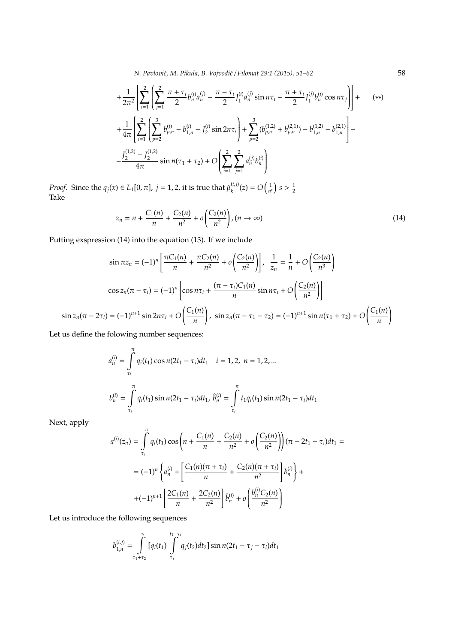$$
+\frac{1}{2\pi^{2}}\left[\sum_{i=1}^{2}\left(\sum_{j=1}^{2}\frac{\pi+\tau_{i}}{2}b_{n}^{(i)}a_{n}^{(j)}-\frac{\pi-\tau_{i}}{2}J_{1}^{(i)}a_{n}^{(j)}\sin n\tau_{i}-\frac{\pi+\tau_{i}}{2}J_{1}^{(j)}b_{n}^{(i)}\cos n\tau_{j}\right)\right]+\n+ \frac{1}{4\pi}\left[\sum_{i=1}^{2}\left(\sum_{p=2}^{3}b_{p,n}^{(i)}-b_{1,n}^{(i)}-J_{2}^{(i)}\sin 2n\tau_{i}\right)+\sum_{p=2}^{3}(b_{p,n}^{(1,2)}+b_{p,n}^{(2,1)})-b_{1,n}^{(1,2)}-b_{1,n}^{(2,1)}\right]-\n- \frac{J_{2}^{(1,2)}+J_{2}^{(1,2)}}{4\pi}\sin n(\tau_{1}+\tau_{2})+O\left(\sum_{i=1}^{2}\sum_{j=1}^{2}a_{n}^{(j)}b_{n}^{(i)}\right)
$$
\n(8)

*Proof.* Since the  $q_j(x) \in L_1[0, \pi]$ ,  $j = 1, 2$ , it is true that  $\beta_k^{(i,j)}$  $\binom{(i,j)}{k}(z) = O\left(\frac{1}{n^s}\right) s > \frac{1}{2}$ Take

$$
z_n = n + \frac{C_1(n)}{n} + \frac{C_2(n)}{n^2} + o\left(\frac{C_2(n)}{n^2}\right), (n \to \infty)
$$
 (14)

Putting exspression (14) into the equation (13). If we include

$$
\sin \pi z_n = (-1)^n \left[ \frac{\pi C_1(n)}{n} + \frac{\pi C_2(n)}{n^2} + o\left(\frac{C_2(n)}{n^2}\right) \right], \frac{1}{z_n} = \frac{1}{n} + O\left(\frac{C_2(n)}{n^3}\right)
$$

$$
\cos z_n(\pi - \tau_i) = (-1)^n \left[ \cos n\tau_i + \frac{(\pi - \tau_i)C_1(n)}{n} \sin n\tau_i + O\left(\frac{C_2(n)}{n^2}\right) \right]
$$

$$
\sin z_n(\pi - 2\tau_i) = (-1)^{n+1} \sin 2n\tau_i + O\left(\frac{C_1(n)}{n}\right), \sin z_n(\pi - \tau_1 - \tau_2) = (-1)^{n+1} \sin n(\tau_1 + \tau_2) + O\left(\frac{C_1(n)}{n}\right)
$$

Let us define the folowing number sequences:

$$
a_n^{(i)} = \int_{\tau_i}^{\pi} q_i(t_1) \cos n(2t_1 - \tau_i) dt_1 \quad i = 1, 2, n = 1, 2, ...
$$
  

$$
b_n^{(i)} = \int_{\tau_i}^{\pi} q_i(t_1) \sin n(2t_1 - \tau_i) dt_1, \ \hat{b}_n^{(i)} = \int_{\tau_i}^{\pi} t_1 q_i(t_1) \sin n(2t_1 - \tau_i) dt_1
$$

Next, apply

$$
a^{(i)}(z_n) = \int_{\tau_i}^{\pi} q_i(t_1) \cos\left(n + \frac{C_1(n)}{n} + \frac{C_2(n)}{n^2} + o\left(\frac{C_2(n)}{n^2}\right)\right) (\pi - 2t_1 + \tau_i) dt_1 =
$$
  

$$
= (-1)^n \left\{ a_n^{(i)} + \left[ \frac{C_1(n)(\pi + \tau_i)}{n} + \frac{C_2(n)(\pi + \tau_i)}{n^2} \right] b_n^{(i)} \right\} +
$$
  

$$
+ (-1)^{n+1} \left[ \frac{2C_1(n)}{n} + \frac{2C_2(n)}{n^2} \right] \hat{b}_n^{(i)} + o\left(\frac{b_n^{(i)} C_2(n)}{n^2}\right)
$$

Let us introduce the following sequences

$$
b_{1,n}^{(i,j)} = \int_{\tau_1+\tau_2}^{\pi} [q_i(t_1) \int_{\tau_j}^{t_1-\tau_i} q_j(t_2) dt_2] \sin n(2t_1-\tau_j-\tau_i) dt_1
$$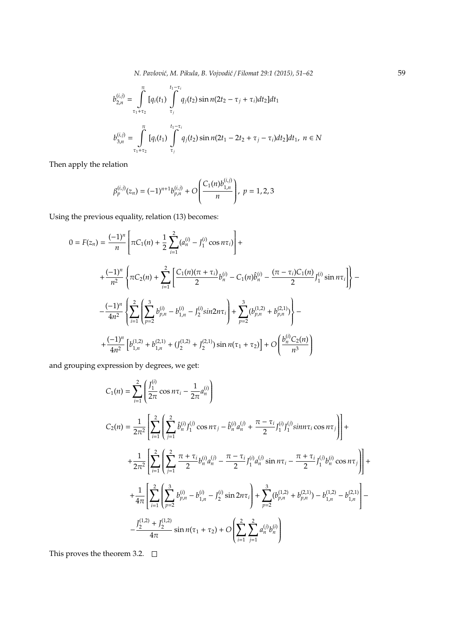$$
b_{2,n}^{(i,j)} = \int_{\tau_1 + \tau_2}^{\pi} [q_i(t_1) \int_{\tau_j}^{t_1 - \tau_i} q_j(t_2) \sin n(2t_2 - \tau_j + \tau_i) dt_2] dt_1
$$
  

$$
b_{3,n}^{(i,j)} = \int_{\tau_1 + \tau_2}^{\pi} [q_i(t_1) \int_{\tau_j}^{t_1 - \tau_i} q_j(t_2) \sin n(2t_1 - 2t_2 + \tau_j - \tau_i) dt_2] dt_1, \ n \in \mathbb{N}
$$

Then apply the relation

$$
\beta_p^{(i,j)}(z_n) = (-1)^{n+1} b_{p,n}^{(i,j)} + O\left(\frac{C_1(n) b_{1,n}^{(i,j)}}{n}\right), \ p = 1,2,3
$$

Using the previous equality, relation (13) becomes:

$$
0 = F(z_n) = \frac{(-1)^n}{n} \left[ \pi C_1(n) + \frac{1}{2} \sum_{i=1}^2 (a_n^{(i)} - J_1^{(i)} \cos n\tau_i) \right] +
$$
  
+ 
$$
\frac{(-1)^n}{n^2} \left\{ \pi C_2(n) + \sum_{i=1}^2 \left[ \frac{C_1(n)(\pi + \tau_i)}{2} b_n^{(i)} - C_1(n) \hat{b}_n^{(i)} - \frac{(\pi - \tau_i)C_1(n)}{2} J_1^{(i)} \sin n\tau_i \right] \right\} -
$$
  
- 
$$
\frac{(-1)^n}{4n^2} \left\{ \sum_{i=1}^2 \left( \sum_{p=2}^3 b_{p,n}^{(i)} - b_{1,n}^{(i)} - J_2^{(i)} \sin 2n\tau_i \right) + \sum_{p=2}^3 (b_{p,n}^{(1,2)} + b_{p,n}^{(2,1)}) \right\} -
$$
  
+ 
$$
\frac{(-1)^n}{4n^2} \left[ b_{1,n}^{(1,2)} + b_{1,n}^{(2,1)} + (J_2^{(1,2)} + J_2^{(2,1)}) \sin n(\tau_1 + \tau_2) \right] + O\left( \frac{b_n^{(i)} C_2(n)}{n^3} \right)
$$

and grouping expression by degrees, we get:

$$
C_1(n) = \sum_{i=1}^{2} \left( \frac{J_1^{(i)}}{2\pi} \cos n\tau_i - \frac{1}{2\pi} a_n^{(i)} \right)
$$
  
\n
$$
C_2(n) = \frac{1}{2\pi^2} \left[ \sum_{i=1}^{2} \left( \sum_{j=1}^{2} \hat{b}_n^{(i)} J_1^{(j)} \cos n\tau_j - \hat{b}_n^{(i)} a_n^{(j)} + \frac{\pi - \tau_i}{2} J_1^{(i)} J_1^{(j)} \sin n\tau_i \cos n\tau_j \right) \right] +
$$
  
\n
$$
+ \frac{1}{2\pi^2} \left[ \sum_{i=1}^{2} \left( \sum_{j=1}^{2} \frac{\pi + \tau_i}{2} b_n^{(i)} a_n^{(j)} - \frac{\pi - \tau_i}{2} J_1^{(i)} a_n^{(j)} \sin n\tau_i - \frac{\pi + \tau_i}{2} J_1^{(j)} b_n^{(i)} \cos n\tau_j \right) \right] +
$$
  
\n
$$
+ \frac{1}{4\pi} \left[ \sum_{i=1}^{2} \left( \sum_{p=2}^{3} b_{p,n}^{(i)} - b_{1,n}^{(i)} - J_2^{(i)} \sin 2n\tau_i \right) + \sum_{p=2}^{3} (b_{p,n}^{(1,2)} + b_{p,n}^{(2,1)}) - b_{1,n}^{(1,2)} - b_{1,n}^{(2,1)} \right] -
$$
  
\n
$$
- \frac{J_2^{(1,2)} + J_2^{(1,2)}}{4\pi} \sin n(\tau_1 + \tau_2) + O\left( \sum_{i=1}^{2} \sum_{j=1}^{2} a_n^{(j)} b_n^{(i)} \right)
$$

This proves the theorem 3.2.  $\square$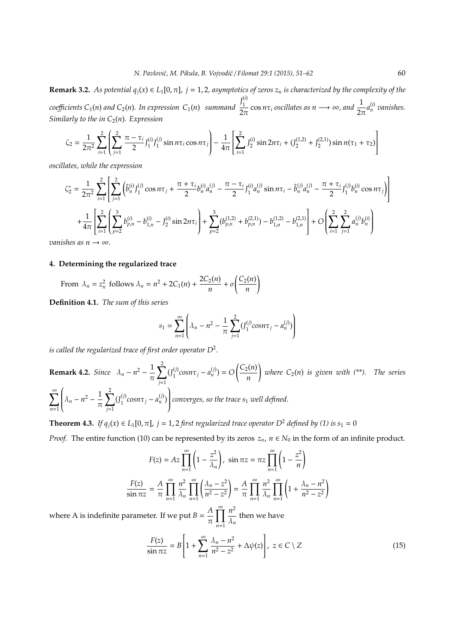**Remark 3.2.** *As potential*  $q_j(x) \in L_1[0, \pi]$ ,  $j = 1, 2$ , asymptotics of zeros  $z_n$  is characterized by the complexity of the *coe*ffi*cients C*1(*n*) *and C*2(*n*)*. In expression C*1(*n*) *summand*  $J_1^{(i)}$ 1  $\frac{1}{2\pi}$  cos *n* $\tau_i$  *oscillates as n* → ∞*, and*  $\frac{1}{2\pi}$ *a*<sup>*(i)*</sup> *vanishes. Similarly to the in*  $C_2(n)$ *. Expression* 

$$
\zeta_2 = \frac{1}{2\pi^2} \sum_{i=1}^2 \left( \sum_{j=1}^2 \frac{\pi - \tau_i}{2} J_1^{(i)} J_1^{(j)} \sin n\tau_i \cos n\tau_j \right) - \frac{1}{4\pi} \left[ \sum_{i=1}^2 J_2^{(i)} \sin 2n\tau_i + (J_2^{(1,2)} + J_2^{(2,1)}) \sin n(\tau_1 + \tau_2) \right]
$$

*oscillates, while the expression*

$$
\zeta_{2}^{*} = \frac{1}{2\pi^{2}} \sum_{i=1}^{2} \left[ \sum_{j=1}^{2} \left( \hat{b}_{n}^{(i)} J_{1}^{(j)} \cos n\tau_{j} + \frac{\pi + \tau_{i}}{2} b_{n}^{(i)} a_{n}^{(j)} - \frac{\pi - \tau_{i}}{2} J_{1}^{(i)} a_{n}^{(j)} \sin n\tau_{i} - \hat{b}_{n}^{(j)} a_{n}^{(j)} - \frac{\pi + \tau_{i}}{2} J_{1}^{(j)} b_{n}^{(i)} \cos n\tau_{j} \right) \right]
$$
  
+ 
$$
\frac{1}{4\pi} \left[ \sum_{i=1}^{2} \left( \sum_{p=2}^{3} b_{p,n}^{(i)} - b_{1,n}^{(i)} - J_{2}^{(i)} \sin 2n\tau_{i} \right) + \sum_{p=2}^{3} (b_{p,n}^{(1,2)} + b_{p,n}^{(2,1)}) - b_{1,n}^{(1,2)} - b_{1,n}^{(2,1)} \right] + O\left( \sum_{i=1}^{2} \sum_{j=1}^{2} a_{n}^{(j)} b_{n}^{(i)} \right)
$$
  
shes as  $n \to \infty$ 

*vanishes as n*  $\rightarrow \infty$ *.* 

## **4. Determining the regularized trace**

From 
$$
\lambda_n = z_n^2
$$
 follows  $\lambda_n = n^2 + 2C_1(n) + \frac{2C_2(n)}{n} + o\left(\frac{C_2(n)}{n}\right)$ 

**Definition 4.1.** *The sum of this series*

$$
s_1 = \sum_{n=1}^{\infty} \left( \lambda_n - n^2 - \frac{1}{\pi} \sum_{j=1}^{2} (J_1^{(j)} \cos n\tau_j - a_n^{(j)}) \right)
$$

*is called the regularized trace of first order operator D*<sup>2</sup> *.*

**Remark 4.2.** Since 
$$
\lambda_n - n^2 - \frac{1}{\pi} \sum_{j=1}^2 (J_1^{(j)} \cos n\tau_j - a_n^{(j)}) = O\left(\frac{C_2(n)}{n}\right)
$$
 where  $C_2(n)$  is given with (\*\*). The series 
$$
\sum_{n=1}^{\infty} \left(\lambda_n - n^2 - \frac{1}{\pi} \sum_{j=1}^2 (J_1^{(j)} \cos n\tau_j - a_n^{(j)})\right)
$$
 converges, so the trace  $s_1$  well defined.

**Theorem 4.3.** *If*  $q_i(x) \in L_1[0, \pi]$ ,  $j = 1, 2$  *first regularized trace operator*  $D^2$  *defined by (1) is*  $s_1 = 0$ 

*Proof.* The entire function (10) can be represented by its zeros  $z_n$ ,  $n \in N_0$  in the form of an infinite product.

$$
F(z) = Az \prod_{n=1}^{\infty} \left( 1 - \frac{z^2}{\lambda_n} \right), \quad \sin \pi z = \pi z \prod_{n=1}^{\infty} \left( 1 - \frac{z^2}{n} \right)
$$

$$
\frac{F(z)}{\sin \pi z} = \frac{A}{\pi} \prod_{n=1}^{\infty} \prod_{n=1}^{n^2} \prod_{n=1}^{\infty} \left( \frac{\lambda_n - z^2}{n^2 - z^2} \right) = \frac{A}{\pi} \prod_{n=1}^{\infty} \frac{n^2}{\lambda_n} \prod_{n=1}^{\infty} \left( 1 + \frac{\lambda_n - n^2}{n^2 - z^2} \right)
$$

where A is indefinite parameter. If we put  $B = \frac{A}{A}$ π  $\prod^{\infty}$ *n*=1 *n* 2  $\frac{n}{\lambda_n}$  then we have

$$
\frac{F(z)}{\sin \pi z} = B \left[ 1 + \sum_{n=1}^{\infty} \frac{\lambda_n - n^2}{n^2 - z^2} + \Delta \psi(z) \right], \ z \in C \setminus Z
$$
\n(15)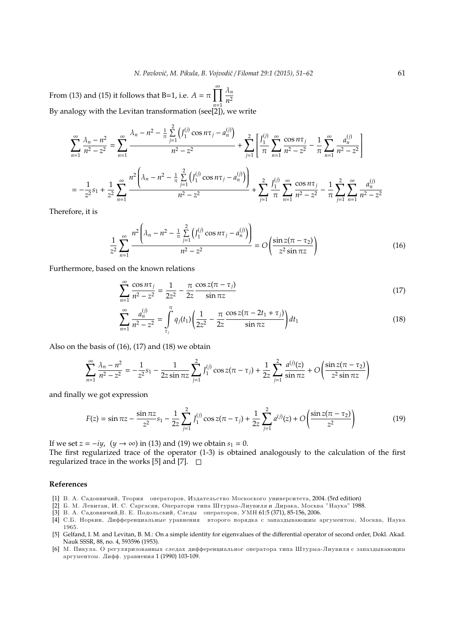From (13) and (15) it follows that B=1, i.e.  $A = \pi \prod_{n=1}^{\infty} \frac{\lambda_n}{n^2}$ By analogy with the Levitan transformation (see[2]), we write *n* 2

$$
\sum_{n=1}^{\infty} \frac{\lambda_n - n^2}{n^2 - z^2} = \sum_{n=1}^{\infty} \frac{\lambda_n - n^2 - \frac{1}{\pi} \sum_{j=1}^2 \left( J_1^{(j)} \cos n\tau_j - a_n^{(j)} \right)}{n^2 - z^2} + \sum_{j=1}^2 \left[ \frac{J_1^{(j)} \sum_{n=1}^{\infty} \frac{\cos n\tau_j}{n^2 - z^2} - \frac{1}{\pi} \sum_{n=1}^{\infty} \frac{a_n^{(j)}}{n^2 - z^2} \right]
$$

$$
= -\frac{1}{z^2} s_1 + \frac{1}{z^2} \sum_{n=1}^{\infty} \frac{n^2 \left( \lambda_n - n^2 - \frac{1}{\pi} \sum_{j=1}^2 \left( J_1^{(j)} \cos n\tau_j - a_n^{(j)} \right) \right)}{n^2 - z^2} + \sum_{j=1}^2 \frac{J_1^{(j)} \sum_{n=1}^{\infty} \frac{\cos n\tau_j}{n^2 - z^2} - \frac{1}{\pi} \sum_{j=1}^2 \sum_{n=1}^{\infty} \frac{a_n^{(j)}}{n^2 - z^2}
$$

Therefore, it is

$$
\frac{1}{z^2} \sum_{n=1}^{\infty} \frac{n^2 \left( \lambda_n - n^2 - \frac{1}{\pi} \sum_{j=1}^2 \left( J_1^{(j)} \cos n\tau_j - a_n^{(j)} \right) \right)}{n^2 - z^2} = O\left( \frac{\sin z (\pi - \tau_2)}{z^2 \sin \pi z} \right)
$$
(16)

Furthermore, based on the known relations

$$
\sum_{n=1}^{\infty} \frac{\cos n\tau_j}{n^2 - z^2} = \frac{1}{2z^2} - \frac{\pi}{2z} \frac{\cos z(\pi - \tau_j)}{\sin \pi z}
$$
(17)

$$
\sum_{n=1}^{\infty} \frac{a_n^{(j)}}{n^2 - z^2} = \int_{\tau_j}^{\pi} q_j(t_1) \left( \frac{1}{2z^2} - \frac{\pi}{2z} \frac{\cos z(\pi - 2t_1 + \tau_j)}{\sin \pi z} \right) dt_1 \tag{18}
$$

Also on the basis of (16), (17) and (18) we obtain

$$
\sum_{n=1}^{\infty} \frac{\lambda_n - n^2}{n^2 - z^2} = -\frac{1}{z^2} s_1 - \frac{1}{2z \sin \pi z} \sum_{j=1}^2 J_1^{(j)} \cos z(\pi - \tau_j) + \frac{1}{2z} \sum_{j=1}^2 \frac{a^{(j)}(z)}{\sin \pi z} + O\left(\frac{\sin z(\pi - \tau_2)}{z^2 \sin \pi z}\right)
$$

and finally we got expression

$$
F(z) = \sin \pi z - \frac{\sin \pi z}{z^2} s_1 - \frac{1}{2z} \sum_{j=1}^2 J_1^{(j)} \cos z(\pi - \tau_j) + \frac{1}{2z} \sum_{j=1}^2 a^{(j)}(z) + O\left(\frac{\sin z(\pi - \tau_2)}{z^2}\right)
$$
(19)

If we set  $z = -iy$ ,  $(y \rightarrow \infty)$  in (13) and (19) we obtain  $s_1 = 0$ .

The first regularized trace of the operator (1-3) is obtained analogously to the calculation of the first regularized trace in the works [5] and [7].  $\Box$ 

#### **References**

- [1] В. А. Садовничий, Теория операторов, Издательство Москоского университета, 2004. (5rd edition)
- [2] Б. М. Левитан, И. С. Саргасян, Оператори типа Штурма-Лиувиля и Дирака, Москва "Наука" 1988.
- [3] В. А. Садовничий, В. Е. Подольский, Следы операторов, УМН 61:5 (371), 85-156, 2006.
- [4] С.Б. Норкин, Дифференциальные уравнения второго порядка с запаздывающим аргументом, Москва, Наука 1965.
- [5] Gelfand, I. M. and Levitan, B. M.: On a simple identity for eigenvalues of the differential operator of second order, Dokl. Akad. Nauk SSSR, 88, no. 4, 593596 (1953).
- [6] М. Пикула. О регуляризованных следах дифференциальног оператора типа Штурма-Лиувиля с запаздывающим аргументом. Дифф. уравнения 1 (1990) 103-109.